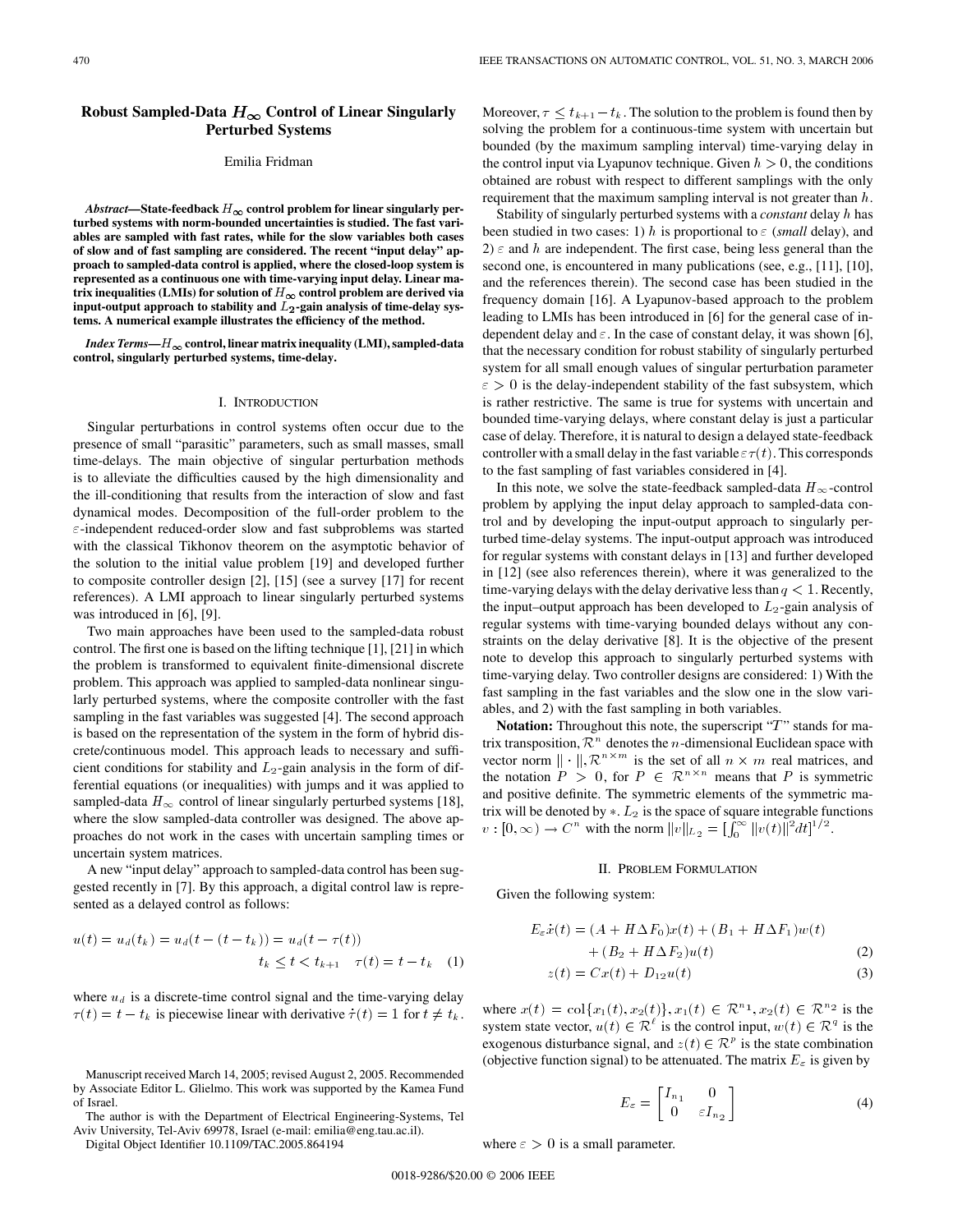# Robust Sampled-Data  $H_{\infty}$  Control of Linear Singularly **Perturbed Systems**

### Emilia Fridman

Abstract—State-feedback  $H_{\infty}$  control problem for linear singularly per**turbed systems with norm-bounded uncertainties is studied. The fast vari**ables are sampled with fast rates, while for the slow variables both cases **of slow and of fast sampling are considered. The recent "input delay" approach to sampled-data control is applied,where the closed-loop system is represented as a continuous one with time-varying input delay. Linear ma**trix inequalities (LMIs) for solution of  $H_{\infty}$  control problem are derived via input-output approach to stability and  $L_2$ -gain analysis of time-delay sys**tems. A numerical example illustrates the efficiency of the method.**

*Index Terms—H* $\infty$  control, linear matrix inequality (LMI), sampled-data control, singularly perturbed systems, time-delay.

### I. INTRODUCTION

Singular perturbations in control systems often occur due to the presence of small "parasitic" parameters, such as small masses, small time-delays. The main objective of singular perturbation methods is to alleviate the difficulties caused by the high dimensionality and the ill-conditioning that results from the interaction of slow and fast dynamical modes. Decomposition of the full-order problem to the  $\varepsilon$ -independent reduced-order slow and fast subproblems was started with the classical Tikhonov theorem on the asymptotic behavior of the solution to the initial value problem [19] and developed further to composite controller design [2], [15] (see a survey [17] for recent references). A LMI approach to linear singularly perturbed systems was introduced in [6], [9].

Two main approaches have been used to the sampled-data robust control. The first one is based on the lifting technique [1], [21] in which the problem is transformed to equivalent finite-dimensional discrete problem. This approach was applied to sampled-data nonlinear singularly perturbed systems, where the composite controller with the fast sampling in the fast variables was suggested [4]. The second approach is based on the representation of the system in the form of hybrid discrete/continuous model. This approach leads to necessary and sufficient conditions for stability and  $L_2$ -gain analysis in the form of differential equations (or inequalities) with jumps and it was applied to sampled-data  $H_{\infty}$  control of linear singularly perturbed systems [18], where the slow sampled-data controller was designed. The above approaches do not work in the cases with uncertain sampling times or uncertain system matrices.

A new "input delay" approach to sampled-data control has been suggested recently in [7]. By this approach, a digital control law is represented as a delayed control as follows:

$$
u(t) = u_d(t_k) = u_d(t - (t - t_k)) = u_d(t - \tau(t))
$$
  

$$
t_k \le t < t_{k+1} - \tau(t) = t - t_k \quad (1)
$$

where  $u_d$  is a discrete-time control signal and the time-varying delay  $\tau(t) = t - t_k$  is piecewise linear with derivative  $\tau(t) = 1$  for  $t \neq t_k$ .

The author is with the Department of Electrical Engineering-Systems, Tel Aviv University, Tel-Aviv 69978, Israel (e-mail: emilia@eng.tau.ac.il).

Digital Object Identifier 10.1109/TAC.2005.864194

Moreover,  $\tau \leq t_{k+1} - t_k$ . The solution to the problem is found then by solving the problem for a continuous-time system with uncertain but bounded (by the maximum sampling interval) time-varying delay in the control input via Lyapunov technique. Given  $h > 0$ , the conditions obtained are robust with respect to different samplings with the only requirement that the maximum sampling interval is not greater than  $h$ .

Stability of singularly perturbed systems with a *constant* delay h has been studied in two cases: 1) h is proportional to  $\varepsilon$  (*small* delay), and 2)  $\varepsilon$  and h are independent. The first case, being less general than the second one, is encountered in many publications (see, e.g., [11], [10], and the references therein). The second case has been studied in the frequency domain [16]. A Lyapunov-based approach to the problem leading to LMIs has been introduced in [6] for the general case of independent delay and  $\varepsilon$ . In the case of constant delay, it was shown [6], that the necessary condition for robust stability of singularly perturbed system for all small enough values of singular perturbation parameter  $\varepsilon > 0$  is the delay-independent stability of the fast subsystem, which is rather restrictive. The same is true for systems with uncertain and bounded time-varying delays, where constant delay is just a particular case of delay. Therefore, it is natural to design a delayed state-feedback controller with a small delay in the fast variable  $\varepsilon \tau(t)$ . This corresponds to the fast sampling of fast variables considered in [4].

In this note, we solve the state-feedback sampled-data  $H_{\infty}$ -control problem by applying the input delay approach to sampled-data control and by developing the input-output approach to singularly perturbed time-delay systems. The input-output approach was introduced for regular systems with constant delays in [13] and further developed in [12] (see also references therein), where it was generalized to the time-varying delays with the delay derivative less than  $q < 1$ . Recently, the input–output approach has been developed to  $L_2$ -gain analysis of regular systems with time-varying bounded delays without any constraints on the delay derivative [8]. It is the objective of the present note to develop this approach to singularly perturbed systems with time-varying delay. Two controller designs are considered: 1) With the fast sampling in the fast variables and the slow one in the slow variables, and 2) with the fast sampling in both variables.

**Notation:** Throughout this note, the superscript "T" stands for matrix transposition,  $\mathcal{R}^n$  denotes the *n*-dimensional Euclidean space with vector norm  $\|\cdot\|$ ,  $\mathcal{R}^{n \times m}$  is the set of all  $n \times m$  real matrices, and the notation  $P > 0$ , for  $P \in \mathbb{R}^{n \times n}$  means that P is symmetric and positive definite. The symmetric elements of the symmetric matrix will be denoted by  $*$ .  $L_2$  is the space of square integrable functions  $v : [0, \infty) \to C^n$  with the norm  $||v||_{L_2} = [\int_0^\infty ||v(t)||^2 dt]^{1/2}$ .

### II. PROBLEM FORMULATION

Given the following system:

$$
E_{\varepsilon}\dot{x}(t) = (A + H\Delta F_0)x(t) + (B_1 + H\Delta F_1)w(t)
$$
  
+ 
$$
(B_2 + H\Delta F_2)u(t)
$$
 (2)

$$
z(t) = Cx(t) + D_{12}u(t)
$$
\n(3)

where  $x(t) = \text{col}\{x_1(t), x_2(t)\}, x_1(t) \in \mathbb{R}^{n_1}, x_2(t) \in \mathbb{R}^{n_2}$  is the system state vector,  $u(t) \in \mathcal{R}^{\ell}$  is the control input,  $w(t) \in \mathcal{R}^q$  is the exogenous disturbance signal, and  $z(t) \in \mathbb{R}^p$  is the state combination (objective function signal) to be attenuated. The matrix  $E<sub>\varepsilon</sub>$  is given by

$$
E_{\varepsilon} = \begin{bmatrix} I_{n_1} & 0 \\ 0 & \varepsilon I_{n_2} \end{bmatrix}
$$
 (4)

where  $\varepsilon > 0$  is a small parameter.

Manuscript received March 14, 2005; revised August 2, 2005. Recommended by Associate Editor L. Glielmo. This work was supported by the Kamea Fund of Israel.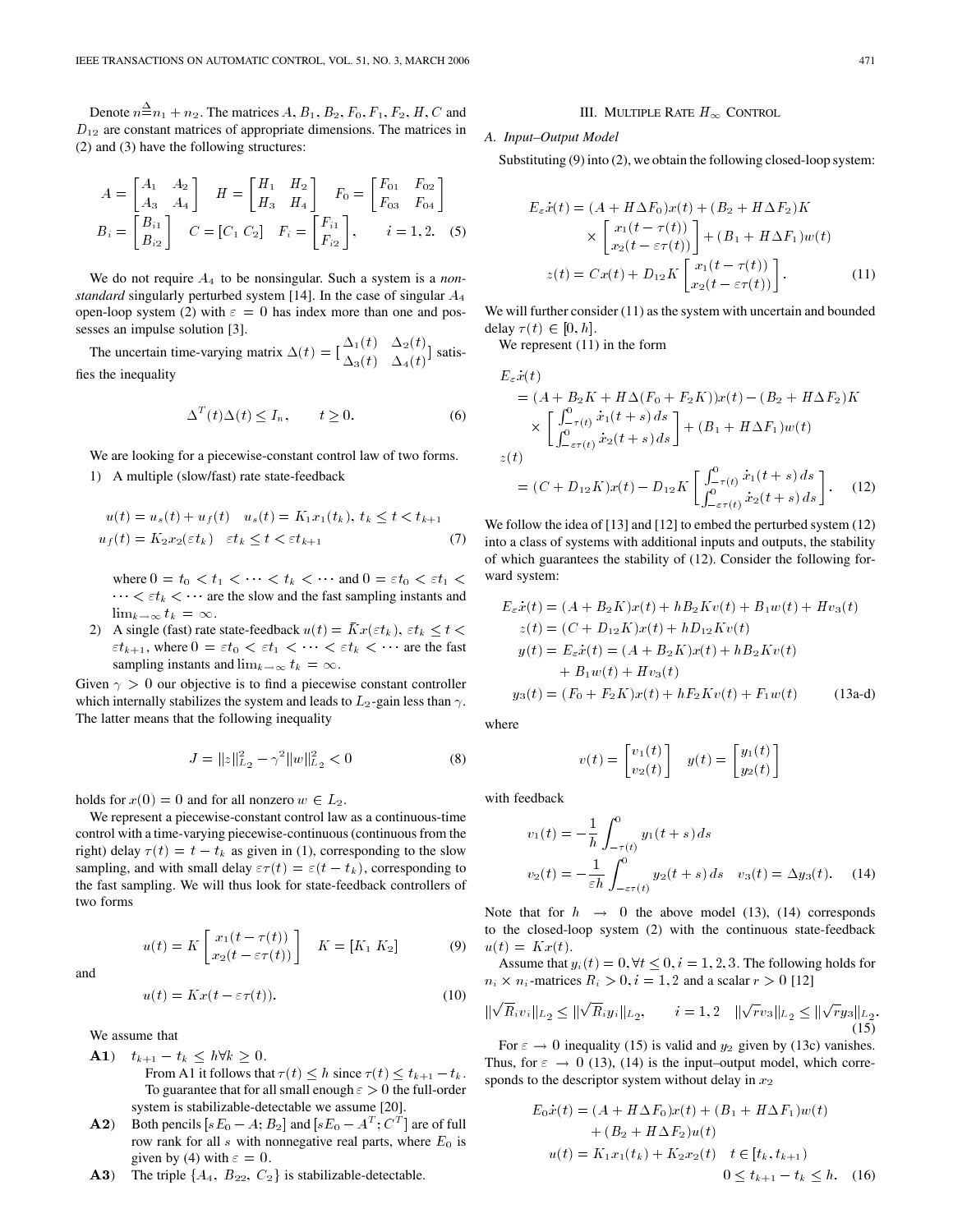Denote  $n \triangleq n_1 + n_2$ . The matrices  $A, B_1, B_2, F_0, F_1, F_2, H, C$  and  $D_{12}$  are constant matrices of appropriate dimensions. The matrices in (2) and (3) have the following structures:

$$
A = \begin{bmatrix} A_1 & A_2 \\ A_3 & A_4 \end{bmatrix} \quad H = \begin{bmatrix} H_1 & H_2 \\ H_3 & H_4 \end{bmatrix} \quad F_0 = \begin{bmatrix} F_{01} & F_{02} \\ F_{03} & F_{04} \end{bmatrix}
$$

$$
B_i = \begin{bmatrix} B_{i1} \\ B_{i2} \end{bmatrix} \quad C = \begin{bmatrix} C_1 & C_2 \end{bmatrix} \quad F_i = \begin{bmatrix} F_{i1} \\ F_{i2} \end{bmatrix}, \qquad i = 1, 2. \tag{5}
$$

We do not require A4 to be nonsingular. Such a system is a *nonstandard* singularly perturbed system [14]. In the case of singular  $A_4$ open-loop system (2) with  $\varepsilon = 0$  has index more than one and possesses an impulse solution [3].

The uncertain time-varying matrix  $\Delta(t) = \begin{bmatrix} \Delta_1(t) & \Delta_2(t) \\ \Delta_3(t) & \Delta_4(t) \end{bmatrix}$  satisfies the inequality

$$
\Delta^T(t)\Delta(t) \le I_n, \qquad t \ge 0. \tag{6}
$$

We are looking for a piecewise-constant control law of two forms. 1) A multiple (slow/fast) rate state-feedback

$$
u(t) = u_s(t) + u_f(t) \quad u_s(t) = K_1 x_1(t_k), \ t_k \le t < t_{k+1}
$$
\n
$$
u_f(t) = K_2 x_2 (\varepsilon t_k) \quad \varepsilon t_k \le t < \varepsilon t_{k+1} \tag{7}
$$

where  $0 = t_0 < t_1 < \cdots < t_k < \cdots$  and  $0 = \varepsilon t_0 < \varepsilon t_1 <$  $\cdots < \varepsilon t_k < \cdots$  are the slow and the fast sampling instants and  $\lim_{k\to\infty} t_k = \infty.$ 

2) A single (fast) rate state-feedback  $u(t) = \overline{K}x(\epsilon t_k)$ ,  $\epsilon t_k \leq t <$  $\varepsilon t_{k+1}$ , where  $0 = \varepsilon t_0 < \varepsilon t_1 < \cdots < \varepsilon t_k < \cdots$  are the fast sampling instants and  $\lim_{k \to \infty} t_k = \infty$ .

Given  $\gamma > 0$  our objective is to find a piecewise constant controller which internally stabilizes the system and leads to  $L_2$ -gain less than  $\gamma$ . The latter means that the following inequality

$$
J = ||z||_{L_2}^2 - \gamma^2 ||w||_{L_2}^2 < 0 \tag{8}
$$

holds for  $x(0) = 0$  and for all nonzero  $w \in L_2$ .

We represent a piecewise-constant control law as a continuous-time control with a time-varying piecewise-continuous (continuous from the right) delay  $\tau(t) = t - t_k$  as given in (1), corresponding to the slow sampling, and with small delay  $\varepsilon \tau(t) = \varepsilon(t - t_k)$ , corresponding to the fast sampling. We will thus look for state-feedback controllers of two forms

$$
u(t) = K \begin{bmatrix} x_1(t - \tau(t)) \\ x_2(t - \varepsilon \tau(t)) \end{bmatrix} \quad K = [K_1 \ K_2] \tag{9}
$$

and

$$
u(t) = Kx(t - \varepsilon \tau(t)).
$$
\n(10)

We assume that

- **A1**)  $t_{k+1} t_k \leq h \forall k \geq 0$ . From A1 it follows that  $\tau(t) \leq h$  since  $\tau(t) \leq t_{k+1} - t_k$ . To guarantee that for all small enough  $\varepsilon > 0$  the full-order system is stabilizable-detectable we assume [20].
- **A2**) Both pencils  $[sE_0 A; B_2]$  and  $[sE_0 A^T; C^T]$  are of full row rank for all  $s$  with nonnegative real parts, where  $E_0$  is given by (4) with  $\varepsilon = 0$ .
- **A3**) The triple  $\{A_4, B_{22}, C_2\}$  is stabilizable-detectable.

### III. MULTIPLE RATE  $H_{\infty}$  CONTROL

### *A. Input–Output Model*

Substituting (9) into (2), we obtain the following closed-loop system:

$$
E_{\varepsilon}\dot{x}(t) = (A + H\Delta F_0)x(t) + (B_2 + H\Delta F_2)K
$$
  
\n
$$
\times \begin{bmatrix} x_1(t - \tau(t)) \\ x_2(t - \varepsilon\tau(t)) \end{bmatrix} + (B_1 + H\Delta F_1)w(t)
$$
  
\n
$$
z(t) = Cx(t) + D_{12}K \begin{bmatrix} x_1(t - \tau(t)) \\ x_2(t - \varepsilon\tau(t)) \end{bmatrix}.
$$
 (11)

We will further consider (11) as the system with uncertain and bounded delay  $\tau(t) \in [0, h]$ .

We represent  $(11)$  in the form

$$
E_{\varepsilon}\dot{x}(t) = (A + B_2K + H\Delta(F_0 + F_2K))x(t) - (B_2 + H\Delta F_2)K
$$
  
\n
$$
\times \left[\int_{-\varepsilon\tau(t)}^0 \dot{x}_1(t+s) ds\right] + (B_1 + H\Delta F_1)w(t)
$$
  
\n
$$
z(t)
$$
  
\n
$$
= (C + D_{12}K)x(t) - D_{12}K\left[\int_{-\varepsilon\tau(t)}^0 \dot{x}_1(t+s) ds\right].
$$
 (12)

We follow the idea of [13] and [12] to embed the perturbed system (12) into a class of systems with additional inputs and outputs, the stability of which guarantees the stability of (12). Consider the following forward system:

$$
E_{\varepsilon}\dot{x}(t) = (A + B_2K)x(t) + h_{2}Kv(t) + B_1w(t) + Hv_3(t)
$$
  
\n
$$
z(t) = (C + D_{12}K)x(t) + h_{12}Kv(t)
$$
  
\n
$$
y(t) = E_{\varepsilon}\dot{x}(t) = (A + B_2K)x(t) + h_{22}Kv(t)
$$
  
\n
$$
+ B_1w(t) + Hv_3(t)
$$
  
\n
$$
y_3(t) = (F_0 + F_2K)x(t) + h_{2}Kv(t) + F_1w(t)
$$
 (13a-d)

where

$$
v(t) = \begin{bmatrix} v_1(t) \\ v_2(t) \end{bmatrix} \quad y(t) = \begin{bmatrix} y_1(t) \\ y_2(t) \end{bmatrix}
$$

with feedback

$$
v_1(t) = -\frac{1}{h} \int_{-\tau(t)}^0 y_1(t+s) \, ds
$$
  

$$
v_2(t) = -\frac{1}{\varepsilon h} \int_{-\varepsilon \tau(t)}^0 y_2(t+s) \, ds \quad v_3(t) = \Delta y_3(t). \quad (14)
$$

Note that for  $h \rightarrow 0$  the above model (13), (14) corresponds to the closed-loop system (2) with the continuous state-feedback  $u(t) = Kx(t).$ 

Assume that  $y_i(t) = 0, \forall t \leq 0, i = 1, 2, 3$ . The following holds for  $n_i \times n_i$ -matrices  $R_i > 0, i = 1, 2$  and a scalar  $r > 0$  [12]

$$
\|\sqrt{R}_i v_i\|_{L_2} \le \|\sqrt{R}_i y_i\|_{L_2}, \qquad i = 1, 2 \quad \|\sqrt{r} v_3\|_{L_2} \le \|\sqrt{r} y_3\|_{L_2}.
$$
\n(15)

For  $\varepsilon \to 0$  inequality (15) is valid and  $y_2$  given by (13c) vanishes. Thus, for  $\varepsilon \to 0$  (13), (14) is the input–output model, which corresponds to the descriptor system without delay in  $x_2$ 

$$
E_0 \dot{x}(t) = (A + H\Delta F_0)x(t) + (B_1 + H\Delta F_1)w(t)
$$
  
+  $(B_2 + H\Delta F_2)u(t)$   
 $u(t) = K_1x_1(t_k) + K_2x_2(t) \quad t \in [t_k, t_{k+1})$   
 $0 \le t_{k+1} - t_k \le h.$  (16)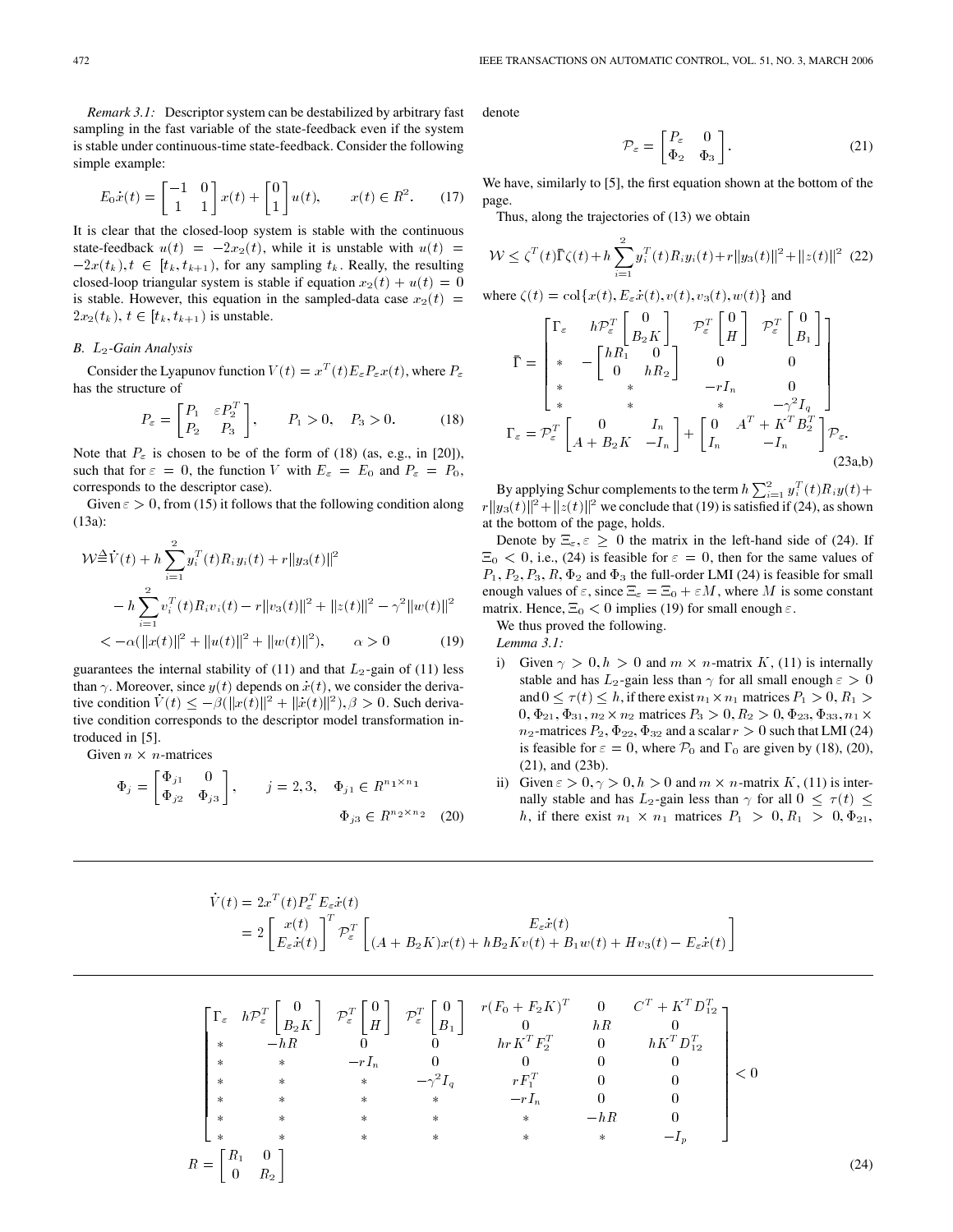*Remark 3.1:* Descriptor system can be destabilized by arbitrary fast sampling in the fast variable of the state-feedback even if the system is stable under continuous-time state-feedback. Consider the following simple example:

$$
E_0\dot{x}(t) = \begin{bmatrix} -1 & 0\\ 1 & 1 \end{bmatrix} x(t) + \begin{bmatrix} 0\\ 1 \end{bmatrix} u(t), \qquad x(t) \in R^2.
$$
 (17)

It is clear that the closed-loop system is stable with the continuous state-feedback  $u(t) = -2x_2(t)$ , while it is unstable with  $u(t) =$  $-2x(t_k), t \in [t_k, t_{k+1}),$  for any sampling  $t_k$ . Really, the resulting closed-loop triangular system is stable if equation  $x_2(t) + u(t) = 0$ is stable. However, this equation in the sampled-data case  $x_2(t)$  =  $2x_2(t_k), t \in [t_k, t_{k+1})$  is unstable.

## *B.* L2*-Gain Analysis*

Consider the Lyapunov function  $V(t) = x^T(t)E_{\varepsilon}P_{\varepsilon}x(t)$ , where  $P_{\varepsilon}$ has the structure of

$$
P_{\varepsilon} = \begin{bmatrix} P_1 & \varepsilon P_2^T \\ P_2 & P_3 \end{bmatrix}, \qquad P_1 > 0, \quad P_3 > 0. \tag{18}
$$

Note that  $P_{\varepsilon}$  is chosen to be of the form of (18) (as, e.g., in [20]), such that for  $\varepsilon = 0$ , the function V with  $E_{\varepsilon} = E_0$  and  $P_{\varepsilon} = P_0$ , corresponds to the descriptor case).

Given  $\varepsilon > 0$ , from (15) it follows that the following condition along (13a):

$$
\mathcal{W} \triangleq V(t) + h \sum_{i=1}^{2} y_i^T(t) R_i y_i(t) + r \|y_3(t)\|^2
$$
  
- 
$$
- h \sum_{i=1}^{2} v_i^T(t) R_i v_i(t) - r \|v_3(t)\|^2 + \|z(t)\|^2 - \gamma^2 \|w(t)\|^2
$$
  
< 
$$
< -\alpha (\|x(t)\|^2 + \|u(t)\|^2 + \|w(t)\|^2), \qquad \alpha > 0
$$
 (19)

guarantees the internal stability of (11) and that  $L_2$ -gain of (11) less than  $\gamma$ . Moreover, since  $y(t)$  depends on  $\dot{x}(t)$ , we consider the derivative condition  $\dot{V}(t) \leq -\beta (\|x(t)\|^2 + \|x(t)\|^2), \beta > 0$ . Such derivative condition corresponds to the descriptor model transformation introduced in [5].

Given  $n \times n$ -matrices

$$
\Phi_j = \begin{bmatrix} \Phi_{j1} & 0 \\ \Phi_{j2} & \Phi_{j3} \end{bmatrix}, \qquad j = 2, 3, \quad \Phi_{j1} \in R^{n_1 \times n_1}
$$

$$
\Phi_{j3} \in R^{n_2 \times n_2} \quad (20)
$$

denote

$$
\mathcal{P}_{\varepsilon} = \begin{bmatrix} P_{\varepsilon} & 0 \\ \Phi_2 & \Phi_3 \end{bmatrix} . \tag{21}
$$

We have, similarly to  $[5]$ , the first equation shown at the bottom of the page.

Thus, along the trajectories of (13) we obtain

$$
\mathcal{W} \le \zeta^{T}(t)\bar{\Gamma}\zeta(t) + h\sum_{i=1}^{2} y_{i}^{T}(t)R_{i}y_{i}(t) + r||y_{3}(t)||^{2} + ||z(t)||^{2} \tag{22}
$$
  
where  $\zeta(t) = \text{col}\{x(t), E_{\varepsilon}\dot{x}(t), v(t), v_{3}(t), w(t)\}$  and

$$
\bar{\Gamma} = \begin{bmatrix}\n\Gamma_{\varepsilon} & h\mathcal{P}_{\varepsilon}^{T} \begin{bmatrix} 0\\ B_{2}K \end{bmatrix} & \mathcal{P}_{\varepsilon}^{T} \begin{bmatrix} 0\\ H \end{bmatrix} & \mathcal{P}_{\varepsilon}^{T} \begin{bmatrix} 0\\ B_{1} \end{bmatrix} \\
* & -\begin{bmatrix} hR_{1} & 0\\ 0 & hR_{2} \end{bmatrix} & 0 & 0 \\
* & * & -rI_{n} & 0 \\
* & * & * & * \\
\Gamma_{\varepsilon} = \mathcal{P}_{\varepsilon}^{T} \begin{bmatrix} 0 & I_{n} \\ A + B_{2}K & -I_{n} \end{bmatrix} + \begin{bmatrix} 0 & A^{T} + K^{T}B_{2}^{T} \\ I_{n} & -I_{n} \end{bmatrix} \mathcal{P}_{\varepsilon}.
$$
\n(23a,b)

By applying Schur complements to the term  $h\sum_{i=1}^{2} y_i^T(t)R_iy(t) +$  $||xy_3(t)||^2 + ||z(t)||^2$  we conclude that (19) is satisfied if (24), as shown at the bottom of the page, holds.

Denote by  $\Xi_{\varepsilon}$ ,  $\varepsilon \geq 0$  the matrix in the left-hand side of (24). If  $\Xi_0$  < 0, i.e., (24) is feasible for  $\varepsilon = 0$ , then for the same values of  $P_1, P_2, P_3, R, \Phi_2$  and  $\Phi_3$  the full-order LMI (24) is feasible for small enough values of  $\varepsilon$ , since  $\Xi_{\varepsilon} = \Xi_0 + \varepsilon M$ , where M is some constant matrix. Hence,  $\Xi_0 < 0$  implies (19) for small enough  $\varepsilon$ .

We thus proved the following.

*Lemma 3.1:*

- i) Given  $\gamma > 0, h > 0$  and  $m \times n$ -matrix K, (11) is internally stable and has  $L_2$ -gain less than  $\gamma$  for all small enough  $\varepsilon > 0$ and  $0 \leq \tau(t) \leq h$ , if there exist  $n_1 \times n_1$  matrices  $P_1 > 0, R_1 >$  $0, \Phi_{21}, \Phi_{31}, n_2 \times n_2$  matrices  $P_3 > 0, R_2 > 0, \Phi_{23}, \Phi_{33}, n_1 \times$  $n_2$ -matrices  $P_2$ ,  $\Phi_{22}$ ,  $\Phi_{32}$  and a scalar  $r > 0$  such that LMI (24) is feasible for  $\varepsilon = 0$ , where  $\mathcal{P}_0$  and  $\Gamma_0$  are given by (18), (20), (21), and (23b).
- ii) Given  $\varepsilon > 0$ ,  $\gamma > 0$ ,  $h > 0$  and  $m \times n$ -matrix K, (11) is internally stable and has  $L_2$ -gain less than  $\gamma$  for all  $0 \leq \tau(t) \leq$ h, if there exist  $n_1 \times n_1$  matrices  $P_1 > 0, R_1 > 0, \Phi_{21}$ ,

(24)

$$
\dot{V}(t) = 2x^{T}(t)P_{\varepsilon}^{T}E_{\varepsilon}\dot{x}(t)
$$
\n
$$
= 2\begin{bmatrix} x(t) \\ E_{\varepsilon}\dot{x}(t) \end{bmatrix}^{T} \mathcal{P}_{\varepsilon}^{T} \begin{bmatrix} E_{\varepsilon}\dot{x}(t) \\ (A + B_{2}K)x(t) + h_{2}Kv(t) + B_{1}w(t) + Hv_{3}(t) - E_{\varepsilon}\dot{x}(t) \end{bmatrix}
$$

$$
\begin{bmatrix}\n\Gamma_{\varepsilon} & h\mathcal{P}_{\varepsilon}^{T} \begin{bmatrix} 0 \\ B_{2}K \end{bmatrix} & \mathcal{P}_{\varepsilon}^{T} \begin{bmatrix} 0 \\ B_{1} \end{bmatrix} & \mathcal{P}_{\varepsilon}^{T} \begin{bmatrix} 0 \\ B_{1} \end{bmatrix} & \begin{array}{ccc} r(F_{0} + F_{2}K)^{T} & 0 & C^{T} + K^{T}D_{12}^{T} \\ 0 & hR & 0 & 0 \\ hK^{T}D_{12}^{T} & 0 & hK^{T}D_{12}^{T} \\ * & * & -rI_{n} & 0 & 0 & 0 \\ * & * & * & -\gamma^{2}I_{q} & rF_{1}^{T} & 0 & 0 \\ * & * & * & * & -rI_{n} & 0 & 0 \\ * & * & * & * & * & -hR & 0 \\ * & * & * & * & * & -I_{p} \end{array}\n\end{bmatrix} < 0
$$
\n
$$
R = \begin{bmatrix} R_{1} & 0 \\ 0 & R_{2} \end{bmatrix}
$$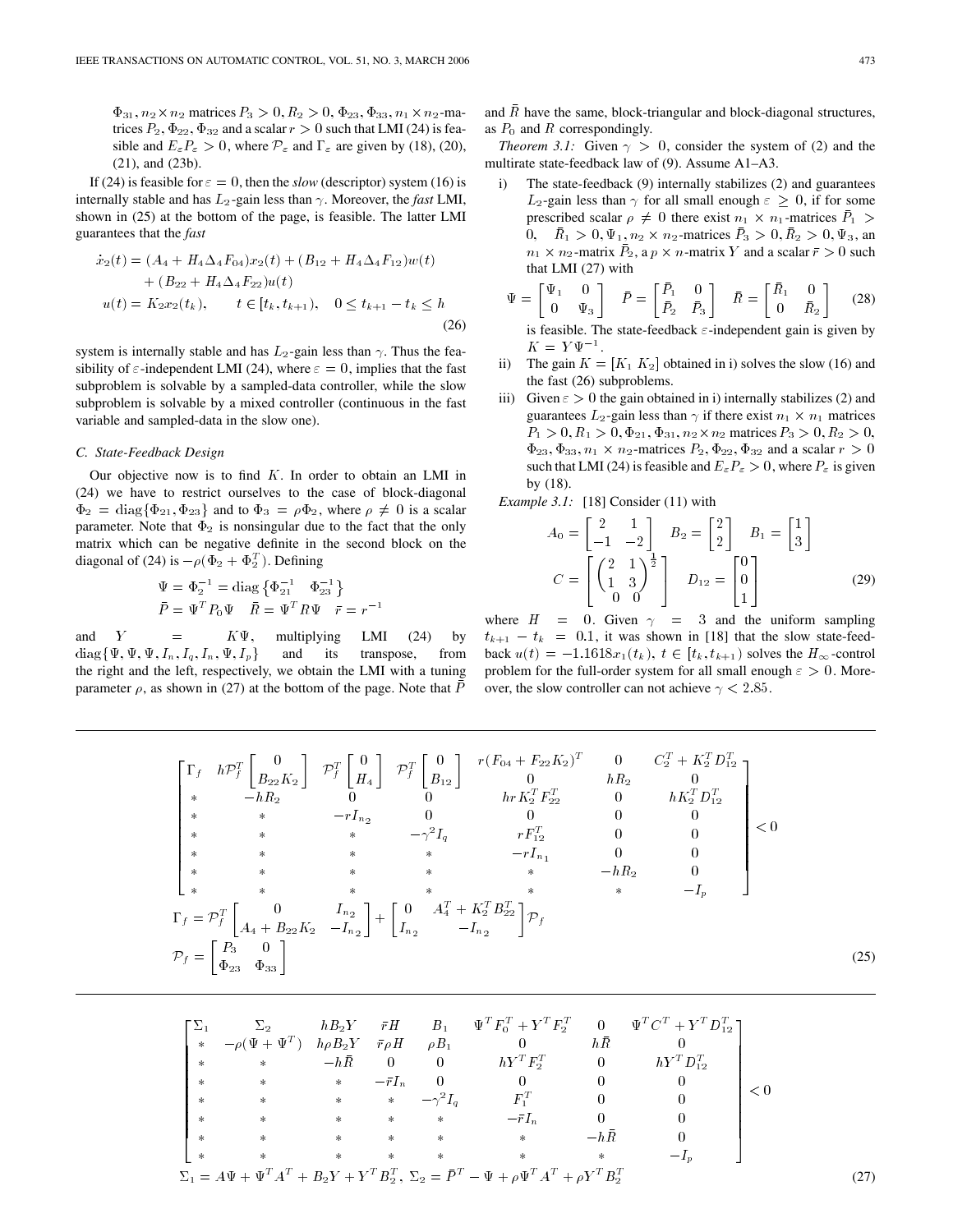$\Phi_{31}, n_2 \times n_2$  matrices  $P_3 > 0, R_2 > 0, \Phi_{23}, \Phi_{33}, n_1 \times n_2$ -matrices  $P_2$ ,  $\Phi_{22}$ ,  $\Phi_{32}$  and a scalar  $r > 0$  such that LMI (24) is feasible and  $E_{\varepsilon}P_{\varepsilon} > 0$ , where  $\mathcal{P}_{\varepsilon}$  and  $\Gamma_{\varepsilon}$  are given by (18), (20), (21), and (23b).

If (24) is feasible for  $\varepsilon = 0$ , then the *slow* (descriptor) system (16) is internally stable and has  $L_2$ -gain less than  $\gamma$ . Moreover, the *fast* LMI, shown in (25) at the bottom of the page, is feasible. The latter LMI guarantees that the *fast*

$$
\dot{x}_2(t) = (A_4 + H_4 \Delta_4 F_{04}) x_2(t) + (B_{12} + H_4 \Delta_4 F_{12}) w(t) \n+ (B_{22} + H_4 \Delta_4 F_{22}) u(t) \nu(t) = K_2 x_2(t_k), \qquad t \in [t_k, t_{k+1}), \quad 0 \le t_{k+1} - t_k \le h
$$
\n(26)

system is internally stable and has  $L_2$ -gain less than  $\gamma$ . Thus the feasibility of  $\varepsilon$ -independent LMI (24), where  $\varepsilon = 0$ , implies that the fast subproblem is solvable by a sampled-data controller, while the slow subproblem is solvable by a mixed controller (continuous in the fast variable and sampled-data in the slow one).

### *C. State-Feedback Design*

Our objective now is to find  $K$ . In order to obtain an LMI in (24) we have to restrict ourselves to the case of block-diagonal  $\Phi_2 = \text{diag}\{\Phi_{21}, \Phi_{23}\}\$ and to  $\Phi_3 = \rho \Phi_2$ , where  $\rho \neq 0$  is a scalar parameter. Note that  $\Phi_2$  is nonsingular due to the fact that the only matrix which can be negative definite in the second block on the diagonal of (24) is  $-\rho(\Phi_2 + \Phi_2^T)$ . Defining

$$
\begin{aligned} \Psi &= \Phi_2^{-1} = \text{diag}\left\{\Phi_{21}^{-1} \quad \Phi_{23}^{-1}\right\} \\ \bar{P} &= \Psi^T P_0 \Psi \quad \bar{R} = \Psi^T R \Psi \quad \bar{r} = r^{-1} \end{aligned}
$$

and  $Y = K\Psi$ , multiplying LMI (24) by  $diag\{\Psi, \Psi, \Psi, I_n, I_q, I_n, \Psi, I_p\}$  and its transpose, from the right and the left, respectively, we obtain the LMI with a tuning parameter  $\rho$ , as shown in (27) at the bottom of the page. Note that P

and  $\bar{R}$  have the same, block-triangular and block-diagonal structures, as  $P_0$  and  $R$  correspondingly.

*Theorem 3.1:* Given  $\gamma > 0$ , consider the system of (2) and the multirate state-feedback law of (9). Assume A1–A3.

i) The state-feedback (9) internally stabilizes (2) and guarantees  $L_2$ -gain less than  $\gamma$  for all small enough  $\varepsilon > 0$ , if for some prescribed scalar  $\rho \neq 0$  there exist  $n_1 \times n_1$ -matrices  $\bar{P}_1$  >  $\bar{R}_1 > 0, \Psi_1, n_2 \times n_2$ -matrices  $\bar{P}_3 > 0, \bar{R}_2 > 0, \Psi_3$ , an  $n_1 \times n_2$ -matrix  $\bar{P}_2$ , a  $p \times n$ -matrix Y and a scalar  $\bar{r} > 0$  such that LMI (27) with

$$
\Psi = \begin{bmatrix} \Psi_1 & 0 \\ 0 & \Psi_3 \end{bmatrix} \quad \bar{P} = \begin{bmatrix} \bar{P}_1 & 0 \\ \bar{P}_2 & \bar{P}_3 \end{bmatrix} \quad \bar{R} = \begin{bmatrix} \bar{R}_1 & 0 \\ 0 & \bar{R}_2 \end{bmatrix} \tag{28}
$$

is feasible. The state-feedback  $\varepsilon$ -independent gain is given by  $K = Y \Psi^{-1}$ .

- ii) The gain  $K = [K_1 K_2]$  obtained in i) solves the slow (16) and the fast (26) subproblems.
- iii) Given  $\epsilon > 0$  the gain obtained in i) internally stabilizes (2) and guarantees  $L_2$ -gain less than  $\gamma$  if there exist  $n_1 \times n_1$  matrices  $P_1 > 0, R_1 > 0, \Phi_{21}, \Phi_{31}, n_2 \times n_2$  matrices  $P_3 > 0, R_2 > 0$ ,  $\Phi_{23}, \Phi_{33}, n_1 \times n_2$ -matrices  $P_2, \Phi_{22}, \Phi_{32}$  and a scalar  $r > 0$ such that LMI (24) is feasible and  $E_{\varepsilon}P_{\varepsilon} > 0$ , where  $P_{\varepsilon}$  is given by (18).

*Example 3.1:* [18] Consider (11) with

$$
A_0 = \begin{bmatrix} 2 & 1 \\ -1 & -2 \end{bmatrix} \quad B_2 = \begin{bmatrix} 2 \\ 2 \end{bmatrix} \quad B_1 = \begin{bmatrix} 1 \\ 3 \end{bmatrix}
$$

$$
C = \begin{bmatrix} 2 & 1 \\ 1 & 3 \\ 0 & 0 \end{bmatrix} \quad D_{12} = \begin{bmatrix} 0 \\ 0 \\ 1 \end{bmatrix}
$$
(29)

where  $H = 0$ . Given  $\gamma = 3$  and the uniform sampling  $t_{k+1} - t_k = 0.1$ , it was shown in [18] that the slow state-feedback  $u(t) = -1.1618x_1(t_k)$ ,  $t \in [t_k, t_{k+1})$  solves the  $H_{\infty}$ -control problem for the full-order system for all small enough  $\varepsilon > 0$ . Moreover, the slow controller can not achieve  $\gamma < 2.85$ .

$$
\begin{bmatrix}\n\Gamma_f & h\mathcal{P}_f^T \begin{bmatrix}\n0 \\
B_{22}K_2\n\end{bmatrix} & \mathcal{P}_f^T \begin{bmatrix}\n0 \\
H_4\n\end{bmatrix} & \mathcal{P}_f^T \begin{bmatrix}\n0 \\
B_{12}\n\end{bmatrix} & \begin{bmatrix}\nr(F_{04} + F_{22}K_2)^T & 0 & C_2^T + K_2^T D_{12}^T \\
0 & hR_2 & 0 & hR_2^T D_{12}^T \\
\ast & \ast & -rI_{n_2} & 0 & 0 & 0 \\
\ast & \ast & -rI_{n_2} & 0 & 0 & 0 \\
\ast & \ast & \ast & -rI_{n_1} & 0 & 0 \\
\ast & \ast & \ast & \ast & -rI_{n_1} & 0 & 0 \\
\ast & \ast & \ast & \ast & \ast & -hR_2 & 0 \\
\ast & \ast & \ast & \ast & \ast & -hR_2 & 0 \\
\ast & \ast & \ast & \ast & \ast & -I_p\n\end{bmatrix}\n\end{bmatrix}\n
$$
\Gamma_f = \mathcal{P}_f^T \begin{bmatrix}\n0 & I_{n_2} \\
A_4 + B_{22}K_2 & -I_{n_2}\n\end{bmatrix} + \begin{bmatrix}\n0 & A_4^T + K_2^T B_{22}^T \\
I_{n_2} & -I_{n_2}\n\end{bmatrix} \mathcal{P}_f
$$
\n
$$
\mathcal{P}_f = \begin{bmatrix}\nP_3 & 0 \\
\Phi_{23} & \Phi_{33}\n\end{bmatrix}
$$
\n(25)
$$

|               | $\Sigma_{2}$               |                                     |               |                          |                                                                                                                             |             | $hB_2Y$ $\bar{r}H$ $B_1$ $\Psi^T F_0^T + Y^T F_2^T$ $0$ $\Psi^T C^T + Y^T D_{12}^T$ |     |     |
|---------------|----------------------------|-------------------------------------|---------------|--------------------------|-----------------------------------------------------------------------------------------------------------------------------|-------------|-------------------------------------------------------------------------------------|-----|-----|
| $\ast$        | $-\rho(\Psi + \Psi^T)$     | $h_{\rho}B_2Y - \bar{r}_{\rho}H$    |               | $\rho B_1$               | $\overline{0}$                                                                                                              | hR          |                                                                                     |     |     |
| $\ast$        |                            | $-h\bar{R}$                         |               |                          | 0 0 $hY^T F_2^T$ 0 $hY^T D_{12}^T$                                                                                          |             |                                                                                     |     |     |
| $\ast$        | $\mathcal{A}^{\text{max}}$ | $\mathbb R^3$ , where $\mathbb R^3$ | $-\bar{r}I_n$ | $\overline{\phantom{0}}$ | $\sim$ 0                                                                                                                    |             | 0                                                                                   | < 0 |     |
| $\star$       |                            |                                     |               |                          | * * * $-\gamma^2 I_q$ $F_1^T$                                                                                               |             | 0                                                                                   |     |     |
| $*$           | $\rightarrow$              | $\rightarrow$ $\ast$                | $\rightarrow$ |                          | $-\bar{r}I_n$                                                                                                               |             | 0                                                                                   |     |     |
| $\ast$        | $\star$                    | $*$ $*$                             | $*$ $*$       |                          | $\mathbb R^2$                                                                                                               | $-h\bar{R}$ |                                                                                     |     |     |
| $\rightarrow$ | $*$                        | $*$ $*$                             | $\rightarrow$ | $\mathbb{R}^n$           | $\ast$                                                                                                                      | $\ast$      |                                                                                     |     |     |
|               |                            |                                     |               |                          | $\Sigma_1 = A\Psi + \Psi^T A^T + B_2 Y + Y^T B_2^T$ , $\Sigma_2 = \overline{P}^T - \Psi + \rho \Psi^T A^T + \rho Y^T B_2^T$ |             |                                                                                     |     | 27) |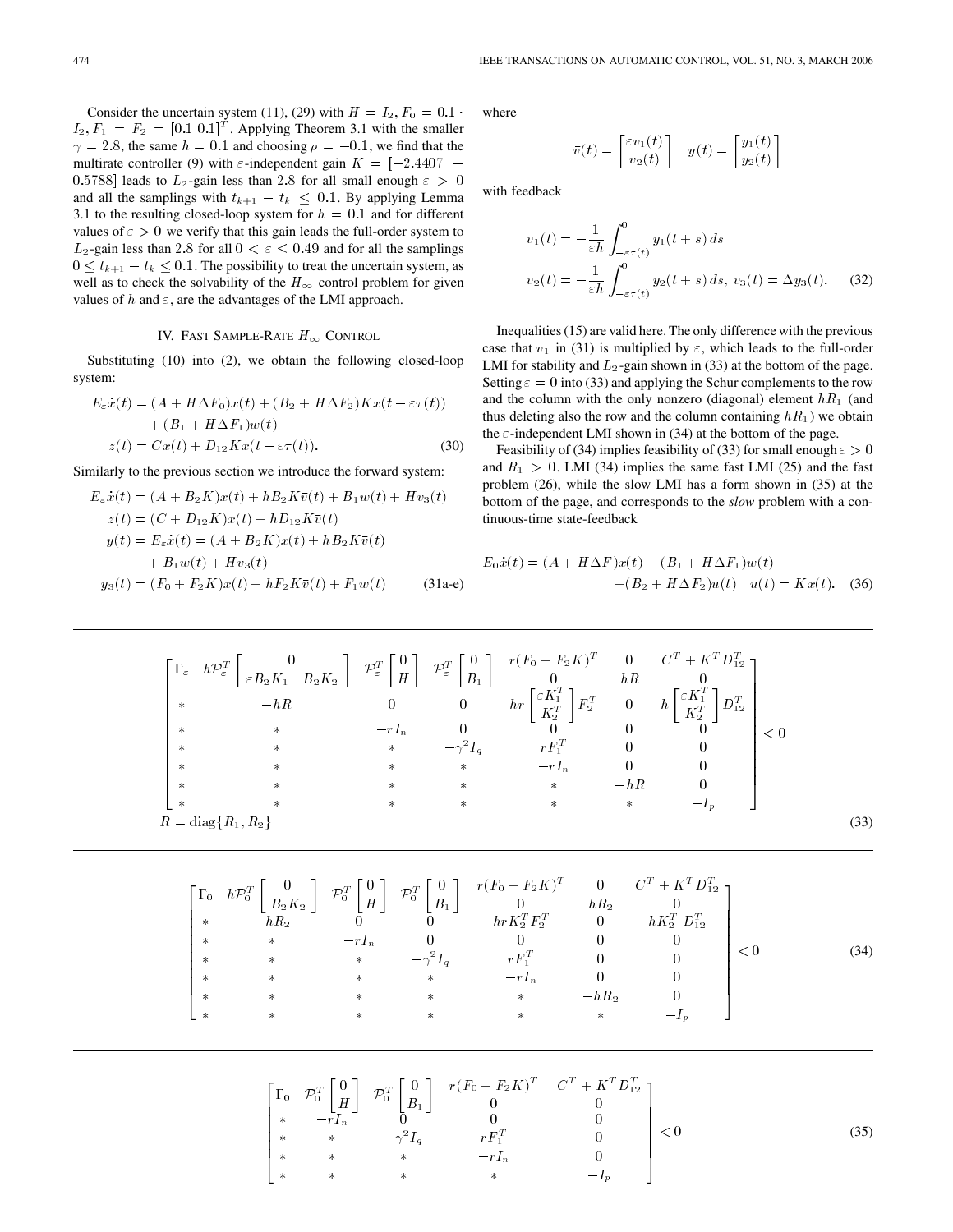Consider the uncertain system (11), (29) with  $H = I_2, F_0 = 0.1$ .  $I_2, F_1 = F_2 = [0.1 \ 0.1]^T$ . Applying Theorem 3.1 with the smaller  $\gamma = 2.8$ , the same  $h = 0.1$  and choosing  $\rho = -0.1$ , we find that the multirate controller (9) with  $\varepsilon$ -independent gain  $K = [-2.4407 -$ 0.5788] leads to  $L_2$ -gain less than 2.8 for all small enough  $\varepsilon > 0$ and all the samplings with  $t_{k+1} - t_k \le 0.1$ . By applying Lemma 3.1 to the resulting closed-loop system for  $h = 0.1$  and for different values of  $\varepsilon > 0$  we verify that this gain leads the full-order system to  $L_2$ -gain less than 2.8 for all  $0 < \varepsilon \le 0.49$  and for all the samplings  $0 \leq t_{k+1} - t_k \leq 0.1$ . The possibility to treat the uncertain system, as well as to check the solvability of the  $H_{\infty}$  control problem for given values of h and  $\varepsilon$ , are the advantages of the LMI approach.

### IV. FAST SAMPLE-RATE  $H_{\infty}$  CONTROL

Substituting (10) into (2), we obtain the following closed-loop system:

$$
E_{\varepsilon}\dot{x}(t) = (A + H\Delta F_0)x(t) + (B_2 + H\Delta F_2)Kx(t - \varepsilon\tau(t))
$$
  
+ 
$$
(B_1 + H\Delta F_1)w(t)
$$
  

$$
z(t) = Cx(t) + D_{12}Kx(t - \varepsilon\tau(t)).
$$
 (30)

Similarly to the previous section we introduce the forward system:

$$
E_{\varepsilon}\dot{x}(t) = (A + B_2 K)x(t) + h_{2}K\bar{v}(t) + B_1 w(t) + H_{\nu_3}(t)
$$
  
\n
$$
z(t) = (C + D_{12}K)x(t) + h_{12}K\bar{v}(t)
$$
  
\n
$$
y(t) = E_{\varepsilon}\dot{x}(t) = (A + B_2 K)x(t) + h_{22}K\bar{v}(t)
$$
  
\n
$$
+ B_1 w(t) + H_{\nu_3}(t)
$$
  
\n
$$
y_3(t) = (F_0 + F_2 K)x(t) + h_{22}K\bar{v}(t) + F_1 w(t)
$$
 (31a-e)

where

$$
\bar{v}(t) = \begin{bmatrix} \varepsilon v_1(t) \\ v_2(t) \end{bmatrix} \quad y(t) = \begin{bmatrix} y_1(t) \\ y_2(t) \end{bmatrix}
$$

with feedback

$$
v_1(t) = -\frac{1}{\varepsilon h} \int_{-\varepsilon\tau(t)}^0 y_1(t+s) \, ds
$$
  

$$
v_2(t) = -\frac{1}{\varepsilon h} \int_{-\varepsilon\tau(t)}^0 y_2(t+s) \, ds, \ v_3(t) = \Delta y_3(t). \tag{32}
$$

Inequalities (15) are valid here. The only difference with the previous case that  $v_1$  in (31) is multiplied by  $\varepsilon$ , which leads to the full-order LMI for stability and  $L_2$ -gain shown in (33) at the bottom of the page. Setting  $\varepsilon = 0$  into (33) and applying the Schur complements to the row and the column with the only nonzero (diagonal) element  $h_1$  (and thus deleting also the row and the column containing  $hR_1$ ) we obtain the  $\varepsilon$ -independent LMI shown in (34) at the bottom of the page.

Feasibility of (34) implies feasibility of (33) for small enough  $\varepsilon > 0$ and  $R_1 > 0$ . LMI (34) implies the same fast LMI (25) and the fast problem  $(26)$ , while the slow LMI has a form shown in  $(35)$  at the bottom of the page, and corresponds to the *slow* problem with a continuous-time state-feedback

$$
E_0 \dot{x}(t) = (A + H\Delta F)x(t) + (B_1 + H\Delta F_1)w(t) + (B_2 + H\Delta F_2)u(t) \quad u(t) = Kx(t).
$$
 (36)

$$
\begin{bmatrix}\n\Gamma_{\varepsilon} & h\mathcal{P}_{\varepsilon}^{T} \begin{bmatrix} 0 \\ \varepsilon B_{2}K_{1} & B_{2}K_{2} \end{bmatrix} & \mathcal{P}_{\varepsilon}^{T} \begin{bmatrix} 0 \\ H \end{bmatrix} & \mathcal{P}_{\varepsilon}^{T} \begin{bmatrix} 0 \\ B_{1} \end{bmatrix} & \begin{array}{ccc}\nr(F_{0} + F_{2}K)^{T} & 0 & C^{T} + K^{T}D_{12}^{T} \\ hR & 0 & hR & 0 \\ hR & 0 & 0 & h \begin{bmatrix} \varepsilon K_{1}^{T} \\ K_{2}^{T} \end{bmatrix} F_{2}^{T} & 0 & h \begin{bmatrix} \varepsilon K_{1}^{T} \\ K_{2}^{T} \end{bmatrix} D_{12}^{T} \\ * & * & -rI_{n} & 0 & 0 \\ * & * & * & -\gamma^{2}I_{q} & rF_{1}^{T} & 0 & 0 \\ * & * & * & * & -rI_{n} & 0 & 0 \\ * & * & * & * & * & -hR & 0 \\ * & * & * & * & * & -I_{p} \end{array}\n\end{bmatrix} < 0
$$
\n
$$
R = \text{diag}\{R_{1}, R_{2}\}
$$
\n(33)

$$
\begin{bmatrix}\n\Gamma_0 & h\mathcal{P}_0^T\n\end{bmatrix}\n\begin{bmatrix}\n0 \\
B_2K_2\n\end{bmatrix}\n\begin{bmatrix}\n\mathcal{P}_0^T\n\end{bmatrix}\n\begin{bmatrix}\n0 \\
B_1\n\end{bmatrix}\n\begin{bmatrix}\nr(F_0 + F_2K)^T & 0 & C^T + K^T D_{12}^T\n\end{bmatrix}\n+ hR_2\n\begin{bmatrix}\n0 \\
h & hR_2 & 0 \\
0 & hK_2^T D_{12}^T\n\end{bmatrix}\n+ \n\begin{bmatrix}\n\ast & \ast & -rI_n & 0 & 0 & 0 & 0 \\
\ast & \ast & \ast & -\gamma^2 I_q & rF_1^T & 0 & 0 \\
\ast & \ast & \ast & \ast & -rI_n & 0 & 0 \\
\ast & \ast & \ast & \ast & \ast & -hR_2 & 0 \\
\ast & \ast & \ast & \ast & \ast & \ast & -I_p\n\end{bmatrix}\n $C$ \n(34)
$$

$$
\begin{bmatrix}\n\Gamma_0 & \mathcal{P}_0^T \begin{bmatrix} 0 \\ H \end{bmatrix} & \mathcal{P}_0^T \begin{bmatrix} 0 \\ B_1 \end{bmatrix} & r(F_0 + F_2 K)^T & C^T + K^T D_{12}^T \\
0 & 0 & 0 \\
\ast & \ast & -\gamma^2 I_q & rF_1^T & 0 \\
\ast & \ast & \ast & -rI_n & 0 \\
\ast & \ast & \ast & \ast & -I_p\n\end{bmatrix} < 0
$$
\n(35)